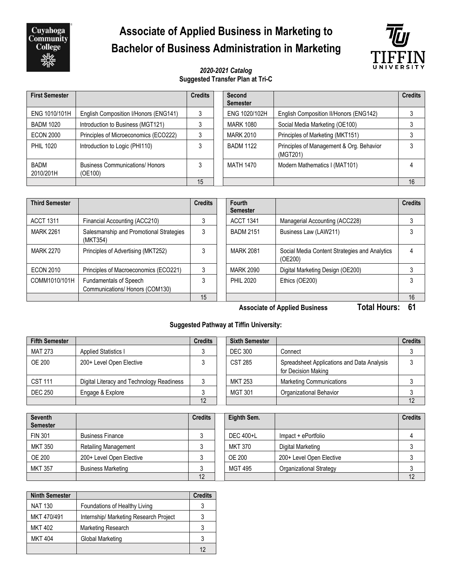Cuyahoga<br>Community **College** 

# **Associate of Applied Business in Marketing to Bachelor of Business Administration in Marketing**



#### *2020-2021 Catalog* **Suggested Transfer Plan at Tri-C**

| <b>First Semester</b>    |                                                   | <b>Credits</b> | Second<br><b>Semester</b> |                                                      | <b>Credits</b> |
|--------------------------|---------------------------------------------------|----------------|---------------------------|------------------------------------------------------|----------------|
| ENG 1010/101H            | English Composition I/Honors (ENG141)             |                | ENG 1020/102H             | English Composition II/Honors (ENG142)               |                |
| <b>BADM 1020</b>         | Introduction to Business (MGT121)                 | 3              | <b>MARK 1080</b>          | Social Media Marketing (OE100)                       |                |
| <b>ECON 2000</b>         | Principles of Microeconomics (ECO222)             | 3              | <b>MARK 2010</b>          | Principles of Marketing (MKT151)                     |                |
| <b>PHIL 1020</b>         | Introduction to Logic (PHI110)                    | 3              | <b>BADM 1122</b>          | Principles of Management & Org. Behavior<br>(MGT201) | 3              |
| <b>BADM</b><br>2010/201H | <b>Business Communications/ Honors</b><br>(OE100) | 3              | MATH 1470                 | Modern Mathematics I (MAT101)                        |                |
|                          |                                                   | 15             |                           |                                                      | 16             |

| <b>Third Semester</b> |                                                                  | <b>Credits</b> | Fourth<br><b>Semester</b> |                                                          | <b>Credits</b> |
|-----------------------|------------------------------------------------------------------|----------------|---------------------------|----------------------------------------------------------|----------------|
| <b>ACCT 1311</b>      | Financial Accounting (ACC210)                                    |                | <b>ACCT 1341</b>          | Managerial Accounting (ACC228)                           |                |
| <b>MARK 2261</b>      | Salesmanship and Promotional Strategies<br>(MKT354)              |                | <b>BADM 2151</b>          | Business Law (LAW211)                                    |                |
| <b>MARK 2270</b>      | Principles of Advertising (MKT252)                               |                | <b>MARK 2081</b>          | Social Media Content Strategies and Analytics<br>(OE200) |                |
| <b>ECON 2010</b>      | Principles of Macroeconomics (ECO221)                            |                | <b>MARK 2090</b>          | Digital Marketing Design (OE200)                         |                |
| COMM1010/101H         | <b>Fundamentals of Speech</b><br>Communications/ Honors (COM130) |                | <b>PHIL 2020</b>          | Ethics (OE200)                                           |                |
|                       |                                                                  | 15             |                           |                                                          | 16             |

**Associate of Applied Business Total Hours: 61**

#### **Suggested Pathway at Tiffin University:**

| <b>Fifth Semester</b> |                                           | <b>Credits</b> | <b>Sixth Semester</b> |                                                                   | <b>Credits</b> |
|-----------------------|-------------------------------------------|----------------|-----------------------|-------------------------------------------------------------------|----------------|
| MAT 273               | <b>Applied Statistics I</b>               |                | <b>DEC 300</b>        | Connect                                                           |                |
| <b>OE 200</b>         | 200+ Level Open Elective                  |                | <b>CST 285</b>        | Spreadsheet Applications and Data Analysis<br>for Decision Making |                |
| <b>CST 111</b>        | Digital Literacy and Technology Readiness |                | MKT 253               | <b>Marketing Communications</b>                                   |                |
| <b>DEC 250</b>        | Engage & Explore                          |                | <b>MGT 301</b>        | Organizational Behavior                                           |                |
|                       |                                           | 12             |                       |                                                                   | 12             |

| <b>Seventh</b><br><b>Semester</b> |                             | <b>Credits</b> | Eighth Sem. |                          | <b>Credits</b> |
|-----------------------------------|-----------------------------|----------------|-------------|--------------------------|----------------|
| <b>FIN 301</b>                    | <b>Business Finance</b>     |                | DEC 400+L   | Impact + ePortfolio      |                |
| <b>MKT 350</b>                    | <b>Retailing Management</b> |                | MKT 370     | Digital Marketing        |                |
| OE 200                            | 200+ Level Open Elective    |                | OE 200      | 200+ Level Open Elective |                |
| <b>MKT 357</b>                    | <b>Business Marketing</b>   |                | MGT 495     | Organizational Strategy  |                |
|                                   |                             | 12             |             |                          | 12             |

| <b>Ninth Semester</b> |                                        | <b>Credits</b> |
|-----------------------|----------------------------------------|----------------|
| <b>NAT 130</b>        | Foundations of Healthy Living          |                |
| MKT 470/491           | Internship/ Marketing Research Project |                |
| <b>MKT 402</b>        | Marketing Research                     | 3              |
| <b>MKT 404</b>        | Global Marketing                       | 3              |
|                       |                                        | 12             |